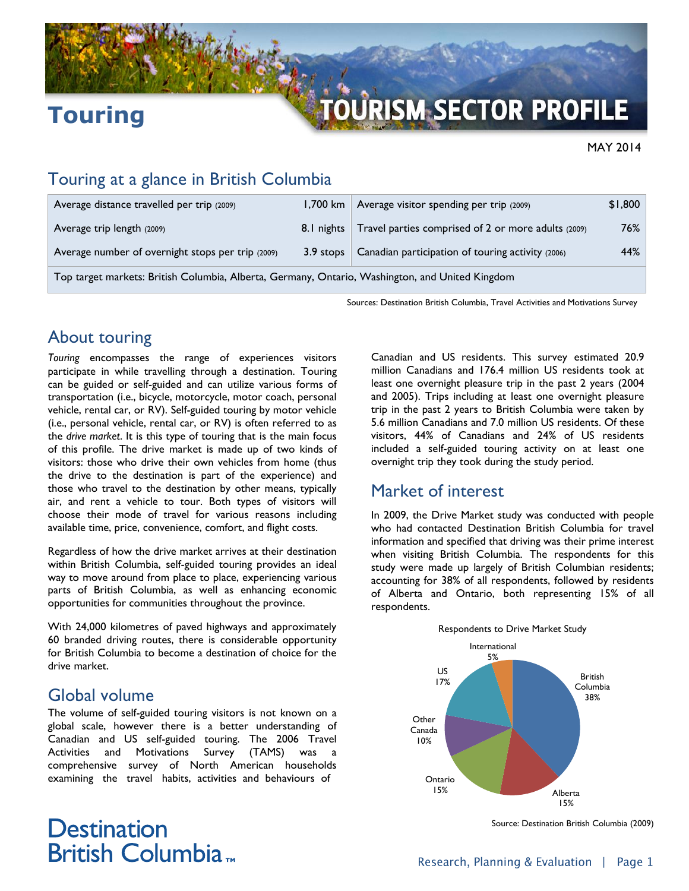

# **Touring**

### MAY 2014

### Touring at a glance in British Columbia

| Average distance travelled per trip (2009)                                                      |  | 1,700 km $\vert$ Average visitor spending per trip (2009)      | \$1,800 |
|-------------------------------------------------------------------------------------------------|--|----------------------------------------------------------------|---------|
| Average trip length (2009)                                                                      |  | 8.1 nights Travel parties comprised of 2 or more adults (2009) | 76%     |
| Average number of overnight stops per trip (2009)                                               |  | 3.9 stops   Canadian participation of touring activity (2006)  | 44%     |
| Top target markets: British Columbia, Alberta, Germany, Ontario, Washington, and United Kingdom |  |                                                                |         |

Sources: Destination British Columbia, Travel Activities and Motivations Survey

## About touring

*Touring* encompasses the range of experiences visitors participate in while travelling through a destination. Touring can be guided or self-guided and can utilize various forms of transportation (i.e., bicycle, motorcycle, motor coach, personal vehicle, rental car, or RV). Self-guided touring by motor vehicle (i.e., personal vehicle, rental car, or RV) is often referred to as the *drive market*. It is this type of touring that is the main focus of this profile. The drive market is made up of two kinds of visitors: those who drive their own vehicles from home (thus the drive to the destination is part of the experience) and those who travel to the destination by other means, typically air, and rent a vehicle to tour. Both types of visitors will choose their mode of travel for various reasons including available time, price, convenience, comfort, and flight costs.

Regardless of how the drive market arrives at their destination within British Columbia, self-guided touring provides an ideal way to move around from place to place, experiencing various parts of British Columbia, as well as enhancing economic opportunities for communities throughout the province.

With 24,000 kilometres of paved highways and approximately 60 branded driving routes, there is considerable opportunity for British Columbia to become a destination of choice for the drive market.

### Global volume

The volume of self-guided touring visitors is not known on a global scale, however there is a better understanding of Canadian and US self-guided touring. The 2006 Travel Activities and Motivations Survey (TAMS) was a comprehensive survey of North American households examining the travel habits, activities and behaviours of

Canadian and US residents. This survey estimated 20.9 million Canadians and 176.4 million US residents took at least one overnight pleasure trip in the past 2 years (2004 and 2005). Trips including at least one overnight pleasure trip in the past 2 years to British Columbia were taken by 5.6 million Canadians and 7.0 million US residents. Of these visitors, 44% of Canadians and 24% of US residents included a self-guided touring activity on at least one overnight trip they took during the study period.

### Market of interest

In 2009, the Drive Market study was conducted with people who had contacted Destination British Columbia for travel information and specified that driving was their prime interest when visiting British Columbia. The respondents for this study were made up largely of British Columbian residents; accounting for 38% of all respondents, followed by residents of Alberta and Ontario, both representing 15% of all respondents.



Source: Destination British Columbia (2009)

## **Destination** British Columbia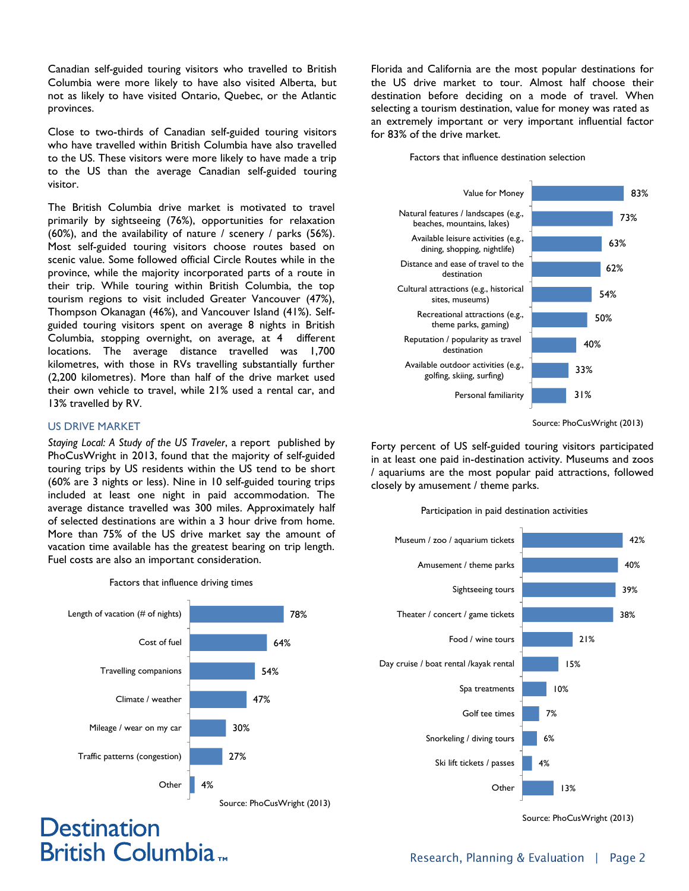Canadian self-guided touring visitors who travelled to British Columbia were more likely to have also visited Alberta, but not as likely to have visited Ontario, Quebec, or the Atlantic provinces.

Close to two-thirds of Canadian self-guided touring visitors who have travelled within British Columbia have also travelled to the US. These visitors were more likely to have made a trip to the US than the average Canadian self-guided touring visitor.

The British Columbia drive market is motivated to travel primarily by sightseeing (76%), opportunities for relaxation (60%), and the availability of nature / scenery / parks (56%). Most self-guided touring visitors choose routes based on scenic value. Some followed official Circle Routes while in the province, while the majority incorporated parts of a route in their trip. While touring within British Columbia, the top tourism regions to visit included Greater Vancouver (47%), Thompson Okanagan (46%), and Vancouver Island (41%). Selfguided touring visitors spent on average 8 nights in British Columbia, stopping overnight, on average, at 4 different locations. The average distance travelled was 1,700 kilometres, with those in RVs travelling substantially further (2,200 kilometres). More than half of the drive market used their own vehicle to travel, while 21% used a rental car, and 13% travelled by RV.

#### US DRIVE MARKET

**Destination** 

**British Columbia**<sub>m</sub>

*Staying Local: A Study of the US Traveler*, a report published by PhoCusWright in 2013, found that the majority of self-guided touring trips by US residents within the US tend to be short (60% are 3 nights or less). Nine in 10 self-guided touring trips included at least one night in paid accommodation. The average distance travelled was 300 miles. Approximately half of selected destinations are within a 3 hour drive from home. More than 75% of the US drive market say the amount of vacation time available has the greatest bearing on trip length. Fuel costs are also an important consideration.

 Source: PhoCusWright (2013) 78% 64% 54% 47% 30% 27% 4% Length of vacation (# of nights) Cost of fuel Travelling companions Climate / weather Mileage / wear on my car Traffic patterns (congestion) **Other** 

Factors that influence driving times

Florida and California are the most popular destinations for the US drive market to tour. Almost half choose their destination before deciding on a mode of travel. When selecting a tourism destination, value for money was rated as an extremely important or very important influential factor for 83% of the drive market.

#### Factors that influence destination selection



Source: PhoCusWright (2013)

Forty percent of US self-guided touring visitors participated in at least one paid in-destination activity. Museums and zoos / aquariums are the most popular paid attractions, followed closely by amusement / theme parks.

#### Participation in paid destination activities



Source: PhoCusWright (2013)